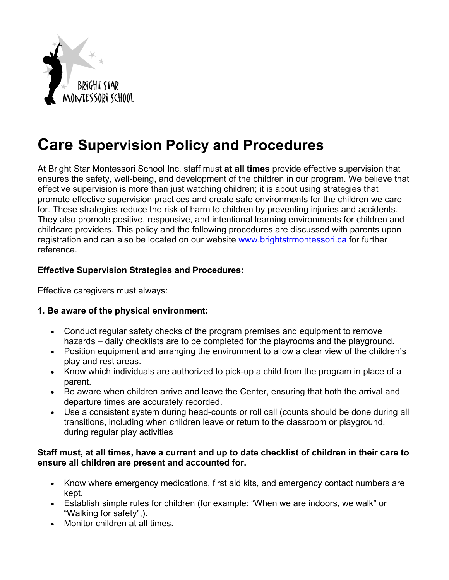

# **Care Supervision Policy and Procedures**

At Bright Star Montessori School Inc. staff must **at all times** provide effective supervision that ensures the safety, well-being, and development of the children in our program. We believe that effective supervision is more than just watching children; it is about using strategies that promote effective supervision practices and create safe environments for the children we care for. These strategies reduce the risk of harm to children by preventing injuries and accidents. They also promote positive, responsive, and intentional learning environments for children and childcare providers. This policy and the following procedures are discussed with parents upon registration and can also be located on our website www.brightstrmontessori.ca for further reference.

### **Effective Supervision Strategies and Procedures:**

Effective caregivers must always:

### **1. Be aware of the physical environment:**

- Conduct regular safety checks of the program premises and equipment to remove hazards – daily checklists are to be completed for the playrooms and the playground.
- Position equipment and arranging the environment to allow a clear view of the children's play and rest areas.
- Know which individuals are authorized to pick-up a child from the program in place of a parent.
- Be aware when children arrive and leave the Center, ensuring that both the arrival and departure times are accurately recorded.
- Use a consistent system during head-counts or roll call (counts should be done during all transitions, including when children leave or return to the classroom or playground, during regular play activities

#### **Staff must, at all times, have a current and up to date checklist of children in their care to ensure all children are present and accounted for.**

- Know where emergency medications, first aid kits, and emergency contact numbers are kept.
- Establish simple rules for children (for example: "When we are indoors, we walk" or "Walking for safety",).
- Monitor children at all times.